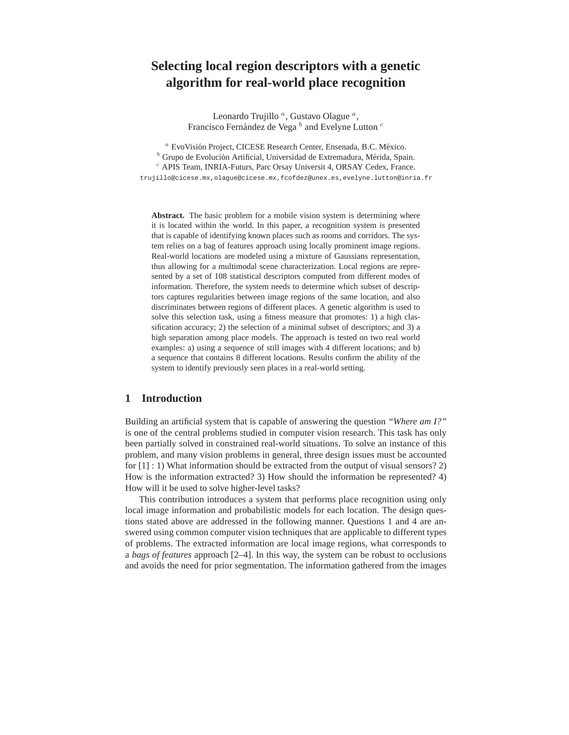# **Selecting local region descriptors with a genetic algorithm for real-world place recognition**

Leonardo Trujillo<sup> $a$ </sup>, Gustavo Olague<sup> $a$ </sup>, Francisco Fernández de Vega  $^b$  and Evelyne Lutton  $^c$ 

<sup>a</sup> EvoVisión Project, CICESE Research Center, Ensenada, B.C. México.

 $^b$  Grupo de Evolución Artificial, Universidad de Extremadura, Mérida, Spain.

<sup>c</sup> APIS Team, INRIA-Futurs, Parc Orsay Universit 4, ORSAY Cedex, France.

trujillo@cicese.mx,olague@cicese.mx,fcofdez@unex.es,evelyne.lutton@inria.fr

Abstract. The basic problem for a mobile vision system is determining where it is located within the world. In this paper, a recognition system is presented that is capable of identifying known places such as rooms and corridors. The system relies on a bag of features approach using locally prominent image regions. Real-world locations are modeled using a mixture of Gaussians representation, thus allowing for a multimodal scene characterization. Local regions are represented by a set of 108 statistical descriptors computed from different modes of information. Therefore, the system needs to determine which subset of descriptors captures regularities between image regions of the same location, and also discriminates between regions of different places. A genetic algorithm is used to solve this selection task, using a fitness measure that promotes: 1) a high classification accuracy; 2) the selection of a minimal subset of descriptors; and 3) a high separation among place models. The approach is tested on two real world examples: a) using a sequence of still images with 4 different locations; and b) a sequence that contains 8 different locations. Results confirm the ability of the system to identify previously seen places in a real-world setting.

# **1 Introduction**

Building an artificial system that is capable of answering the question *"Where am I?"* is one of the central problems studied in computer vision research. This task has only been partially solved in constrained real-world situations. To solve an instance of this problem, and many vision problems in general, three design issues must be accounted for  $[1]$  : 1) What information should be extracted from the output of visual sensors? 2) How is the information extracted? 3) How should the information be represented? 4) How will it be used to solve higher-level tasks?

This contribution introduces a system that performs place recognition using only local image information and probabilistic models for each location. The design questions stated above are addressed in the following manner. Questions 1 and 4 are answered using common computer vision techniques that are applicable to different types of problems. The extracted information are local image regions, what corresponds to a *bags of features* approach [2–4]. In this way, the system can be robust to occlusions and avoids the need for prior segmentation. The information gathered from the images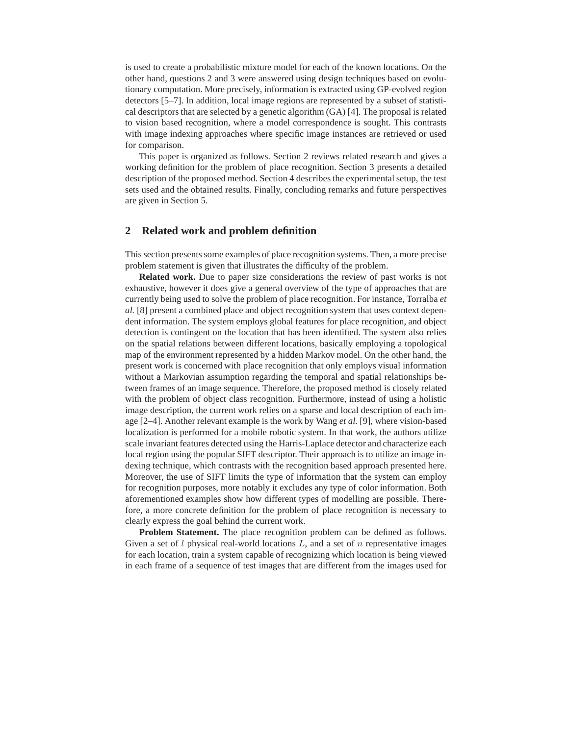is used to create a probabilistic mixture model for each of the known locations. On the other hand, questions 2 and 3 were answered using design techniques based on evolutionary computation. More precisely, information is extracted using GP-evolved region detectors [5–7]. In addition, local image regions are represented by a subset of statistical descriptors that are selected by a genetic algorithm (GA) [4]. The proposal is related to vision based recognition, where a model correspondence is sought. This contrasts with image indexing approaches where specific image instances are retrieved or used for comparison.

This paper is organized as follows. Section 2 reviews related research and gives a working definition for the problem of place recognition. Section 3 presents a detailed description of the proposed method. Section 4 describes the experimental setup, the test sets used and the obtained results. Finally, concluding remarks and future perspectives are given in Section 5.

### **2 Related work and problem definition**

This section presents some examples of place recognition systems. Then, a more precise problem statement is given that illustrates the difficulty of the problem.

**Related work.** Due to paper size considerations the review of past works is not exhaustive, however it does give a general overview of the type of approaches that are currently being used to solve the problem of place recognition. For instance, Torralba *et al.* [8] present a combined place and object recognition system that uses context dependent information. The system employs global features for place recognition, and object detection is contingent on the location that has been identified. The system also relies on the spatial relations between different locations, basically employing a topological map of the environment represented by a hidden Markov model. On the other hand, the present work is concerned with place recognition that only employs visual information without a Markovian assumption regarding the temporal and spatial relationships between frames of an image sequence. Therefore, the proposed method is closely related with the problem of object class recognition. Furthermore, instead of using a holistic image description, the current work relies on a sparse and local description of each image [2–4]. Another relevant example is the work by Wang *et al.* [9], where vision-based localization is performed for a mobile robotic system. In that work, the authors utilize scale invariant features detected using the Harris-Laplace detector and characterize each local region using the popular SIFT descriptor. Their approach is to utilize an image indexing technique, which contrasts with the recognition based approach presented here. Moreover, the use of SIFT limits the type of information that the system can employ for recognition purposes, more notably it excludes any type of color information. Both aforementioned examples show how different types of modelling are possible. Therefore, a more concrete definition for the problem of place recognition is necessary to clearly express the goal behind the current work.

**Problem Statement.** The place recognition problem can be defined as follows. Given a set of  $l$  physical real-world locations  $L$ , and a set of  $n$  representative images for each location, train a system capable of recognizing which location is being viewed in each frame of a sequence of test images that are different from the images used for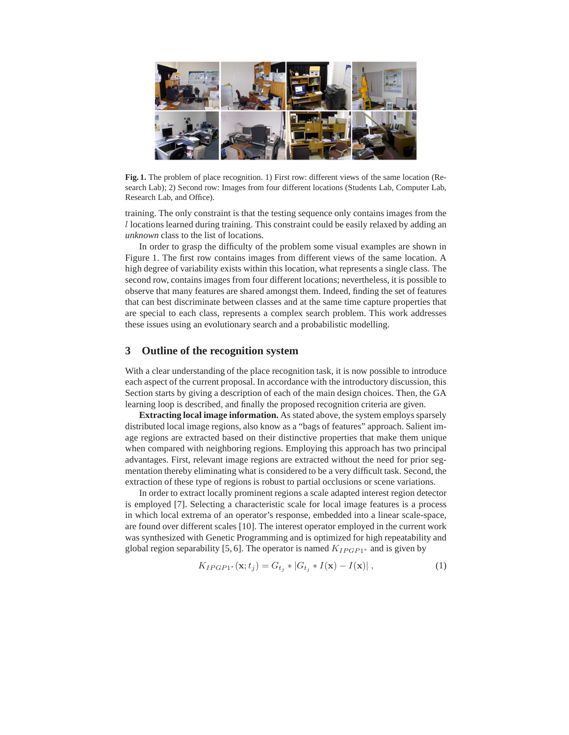

**Fig. 1.** The problem of place recognition. 1) First row: different views of the same location (Research Lab); 2) Second row: Images from four different locations (Students Lab, Computer Lab, Research Lab, and Office).

training. The only constraint is that the testing sequence only contains images from the l locations learned during training. This constraint could be easily relaxed by adding an *unknown* class to the list of locations.

In order to grasp the difficulty of the problem some visual examples are shown in Figure 1. The first row contains images from different views of the same location. A high degree of variability exists within this location, what represents a single class. The second row, contains images from four different locations; nevertheless, it is possible to observe that many features are shared amongst them. Indeed, finding the set of features that can best discriminate between classes and at the same time capture properties that are special to each class, represents a complex search problem. This work addresses these issues using an evolutionary search and a probabilistic modelling.

### **3 Outline of the recognition system**

With a clear understanding of the place recognition task, it is now possible to introduce each aspect of the current proposal. In accordance with the introductory discussion, this Section starts by giving a description of each of the main design choices. Then, the GA learning loop is described, and finally the proposed recognition criteria are given.

**Extracting local image information.** As stated above, the system employs sparsely distributed local image regions, also know as a "bags of features" approach. Salient image regions are extracted based on their distinctive properties that make them unique when compared with neighboring regions. Employing this approach has two principal advantages. First, relevant image regions are extracted without the need for prior segmentation thereby eliminating what is considered to be a very difficult task. Second, the extraction of these type of regions is robust to partial occlusions or scene variations.

In order to extract locally prominent regions a scale adapted interest region detector is employed [7]. Selecting a characteristic scale for local image features is a process in which local extrema of an operator's response, embedded into a linear scale-space, are found over different scales [10]. The interest operator employed in the current work was synthesized with Genetic Programming and is optimized for high repeatability and global region separability [5, 6]. The operator is named  $K_{IPGP}$ <sub>1</sub>∗ and is given by

$$
K_{IPGP1*}(\mathbf{x}; t_j) = G_{t_j} * |G_{t_j} * I(\mathbf{x}) - I(\mathbf{x})|,
$$
\n(1)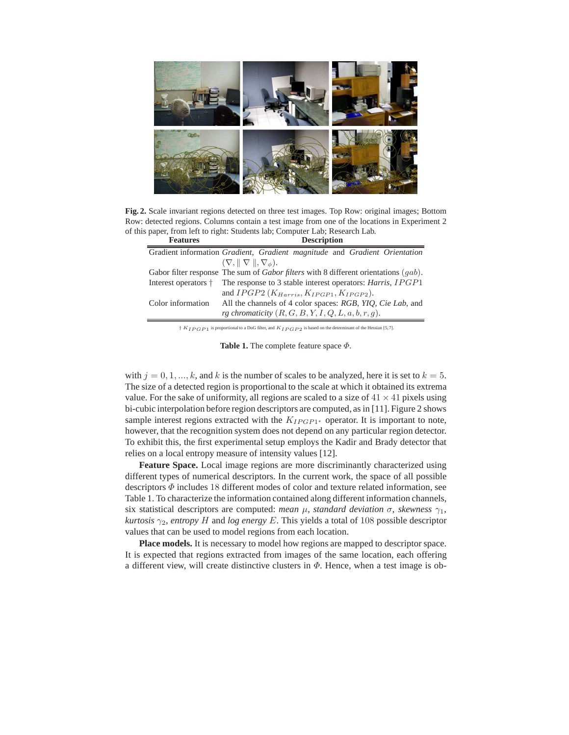

**Fig. 2.** Scale invariant regions detected on three test images. Top Row: original images; Bottom Row: detected regions. Columns contain a test image from one of the locations in Experiment 2 of this paper, from left to right: Students lab; Computer Lab; Research Lab.

| <b>Features</b>   | <b>Description</b>                                                                                         |
|-------------------|------------------------------------------------------------------------------------------------------------|
|                   | Gradient information Gradient, Gradient magnitude and Gradient Orientation                                 |
|                   | $(\nabla, \ \nabla\ , \nabla_{\phi}).$                                                                     |
|                   | Gabor filter response The sum of <i>Gabor filters</i> with 8 different orientations $(qab)$ .              |
|                   | Interest operators <sup>†</sup> The response to 3 stable interest operators: <i>Harris</i> , <i>IPGP</i> 1 |
|                   | and $IPGP2(K_{Harris}, K_{IPGP1}, K_{IPGP2}).$                                                             |
| Color information | All the channels of 4 color spaces: RGB, YIQ, Cie Lab, and                                                 |
|                   | rg chromaticity $(R, G, B, Y, I, Q, L, a, b, r, g)$ .                                                      |
|                   |                                                                                                            |

 $\dagger$  K<sub>IP GP</sub> 1 is proportional to a DoG filter, and K<sub>IP GP</sub> 2 is based on the determinant of the Hessian [5,7].

**Table 1.** The complete feature space Φ.

with  $j = 0, 1, ..., k$ , and k is the number of scales to be analyzed, here it is set to  $k = 5$ . The size of a detected region is proportional to the scale at which it obtained its extrema value. For the sake of uniformity, all regions are scaled to a size of  $41 \times 41$  pixels using bi-cubic interpolation before region descriptors are computed, as in [11]. Figure 2 shows sample interest regions extracted with the  $K_{IPGP1*}$  operator. It is important to note, however, that the recognition system does not depend on any particular region detector. To exhibit this, the first experimental setup employs the Kadir and Brady detector that relies on a local entropy measure of intensity values [12].

**Feature Space.** Local image regions are more discriminantly characterized using different types of numerical descriptors. In the current work, the space of all possible descriptors  $\Phi$  includes 18 different modes of color and texture related information, see Table 1. To characterize the information contained along different information channels, six statistical descriptors are computed: *mean*  $\mu$ , *standard deviation*  $\sigma$ , *skewness*  $\gamma_1$ , *kurtosis*  $\gamma_2$ , *entropy* H and *log energy* E. This yields a total of 108 possible descriptor values that can be used to model regions from each location.

**Place models.** It is necessary to model how regions are mapped to descriptor space. It is expected that regions extracted from images of the same location, each offering a different view, will create distinctive clusters in  $\Phi$ . Hence, when a test image is ob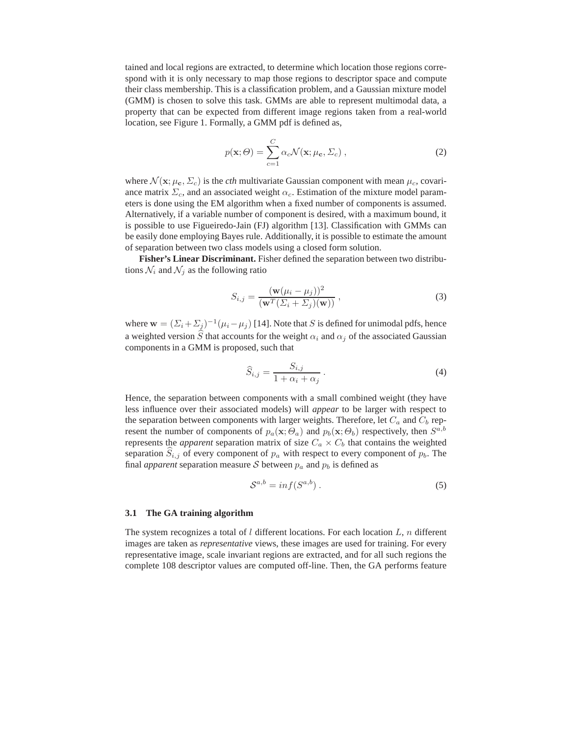tained and local regions are extracted, to determine which location those regions correspond with it is only necessary to map those regions to descriptor space and compute their class membership. This is a classification problem, and a Gaussian mixture model (GMM) is chosen to solve this task. GMMs are able to represent multimodal data, a property that can be expected from different image regions taken from a real-world location, see Figure 1. Formally, a GMM pdf is defined as,

$$
p(\mathbf{x}; \Theta) = \sum_{c=1}^{C} \alpha_c \mathcal{N}(\mathbf{x}; \mu_{\mathbf{c}}, \Sigma_c),
$$
 (2)

where  $\mathcal{N}(\mathbf{x}; \mu_{\mathbf{c}}, \Sigma_c)$  is the *cth* multivariate Gaussian component with mean  $\mu_c$ , covariance matrix  $\Sigma_c$ , and an associated weight  $\alpha_c$ . Estimation of the mixture model parameters is done using the EM algorithm when a fixed number of components is assumed. Alternatively, if a variable number of component is desired, with a maximum bound, it is possible to use Figueiredo-Jain (FJ) algorithm [13]. Classification with GMMs can be easily done employing Bayes rule. Additionally, it is possible to estimate the amount of separation between two class models using a closed form solution.

**Fisher's Linear Discriminant.** Fisher defined the separation between two distributions  $\mathcal{N}_i$  and  $\mathcal{N}_j$  as the following ratio

$$
S_{i,j} = \frac{(\mathbf{w}(\mu_i - \mu_j))^2}{(\mathbf{w}^T(\Sigma_i + \Sigma_j)(\mathbf{w}))},
$$
\n(3)

where  $\mathbf{w} = (\Sigma_i + \Sigma_j)^{-1} (\mu_i - \mu_j)$  [14]. Note that S is defined for unimodal pdfs, hence a weighted version S that accounts for the weight  $\alpha_i$  and  $\alpha_j$  of the associated Gaussian components in a GMM is proposed, such that

$$
\widehat{S}_{i,j} = \frac{S_{i,j}}{1 + \alpha_i + \alpha_j} \,. \tag{4}
$$

Hence, the separation between components with a small combined weight (they have less influence over their associated models) will *appear* to be larger with respect to the separation between components with larger weights. Therefore, let  $C_a$  and  $C_b$  represent the number of components of  $p_a(\mathbf{x}; \Theta_a)$  and  $p_b(\mathbf{x}; \Theta_b)$  respectively, then  $S^{a,b}$ represents the *apparent* separation matrix of size  $C_a \times C_b$  that contains the weighted separation  $\hat{S}_{i,j}$  of every component of  $p_a$  with respect to every component of  $p_b$ . The final *apparent* separation measure S between  $p_a$  and  $p_b$  is defined as

$$
S^{a,b} = \inf(S^{a,b}) \,. \tag{5}
$$

#### **3.1 The GA training algorithm**

The system recognizes a total of  $l$  different locations. For each location  $L$ ,  $n$  different images are taken as *representative* views, these images are used for training. For every representative image, scale invariant regions are extracted, and for all such regions the complete 108 descriptor values are computed off-line. Then, the GA performs feature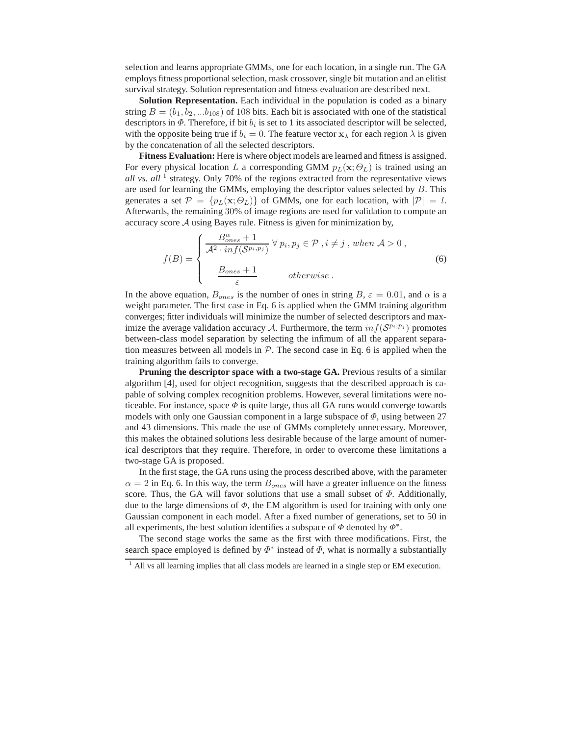selection and learns appropriate GMMs, one for each location, in a single run. The GA employs fitness proportional selection, mask crossover, single bit mutation and an elitist survival strategy. Solution representation and fitness evaluation are described next.

**Solution Representation.** Each individual in the population is coded as a binary string  $B = (b_1, b_2, ... b_{108})$  of 108 bits. Each bit is associated with one of the statistical descriptors in  $\Phi$ . Therefore, if bit  $b_i$  is set to 1 its associated descriptor will be selected, with the opposite being true if  $b_i = 0$ . The feature vector  $\mathbf{x}_{\lambda}$  for each region  $\lambda$  is given by the concatenation of all the selected descriptors.

**Fitness Evaluation:** Here is where object models are learned and fitness is assigned. For every physical location L a corresponding GMM  $p_L(\mathbf{x}; \Theta_L)$  is trained using an all vs. all <sup>1</sup> strategy. Only 70% of the regions extracted from the representative views are used for learning the GMMs, employing the descriptor values selected by B. This generates a set  $\mathcal{P} = \{p_L(\mathbf{x}; \Theta_L)\}\$  of GMMs, one for each location, with  $|\mathcal{P}| = l$ . Afterwards, the remaining 30% of image regions are used for validation to compute an accuracy score A using Bayes rule. Fitness is given for minimization by,

$$
f(B) = \begin{cases} \frac{B_{ones}^{\alpha} + 1}{A^2 \cdot inf(S^{p_i, p_j})} \forall p_i, p_j \in \mathcal{P}, i \neq j, when A > 0, \\ \frac{B_{ones} + 1}{\varepsilon} & otherwise. \end{cases}
$$
 (6)

In the above equation,  $B_{ones}$  is the number of ones in string  $B, \varepsilon = 0.01$ , and  $\alpha$  is a weight parameter. The first case in Eq. 6 is applied when the GMM training algorithm converges; fitter individuals will minimize the number of selected descriptors and maximize the average validation accuracy A. Furthermore, the term  $inf(S^{p_i,p_j})$  promotes between-class model separation by selecting the infimum of all the apparent separation measures between all models in  $P$ . The second case in Eq. 6 is applied when the training algorithm fails to converge.

**Pruning the descriptor space with a two-stage GA.** Previous results of a similar algorithm [4], used for object recognition, suggests that the described approach is capable of solving complex recognition problems. However, several limitations were noticeable. For instance, space  $\Phi$  is quite large, thus all GA runs would converge towards models with only one Gaussian component in a large subspace of  $\Phi$ , using between 27 and 43 dimensions. This made the use of GMMs completely unnecessary. Moreover, this makes the obtained solutions less desirable because of the large amount of numerical descriptors that they require. Therefore, in order to overcome these limitations a two-stage GA is proposed.

In the first stage, the GA runs using the process described above, with the parameter  $\alpha = 2$  in Eq. 6. In this way, the term  $B_{ones}$  will have a greater influence on the fitness score. Thus, the GA will favor solutions that use a small subset of  $\Phi$ . Additionally, due to the large dimensions of  $\Phi$ , the EM algorithm is used for training with only one Gaussian component in each model. After a fixed number of generations, set to 50 in all experiments, the best solution identifies a subspace of  $\Phi$  denoted by  $\Phi^*$ .

The second stage works the same as the first with three modifications. First, the search space employed is defined by  $\Phi^*$  instead of  $\Phi$ , what is normally a substantially

 $<sup>1</sup>$  All vs all learning implies that all class models are learned in a single step or EM execution.</sup>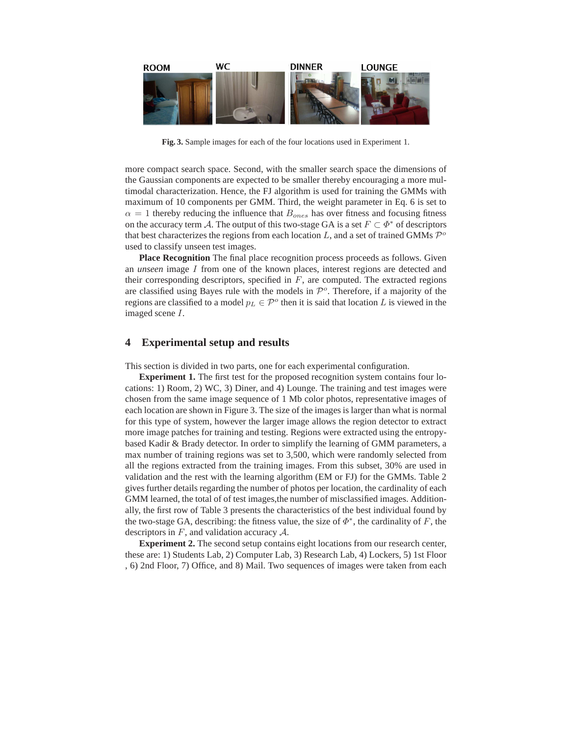

**Fig. 3.** Sample images for each of the four locations used in Experiment 1.

more compact search space. Second, with the smaller search space the dimensions of the Gaussian components are expected to be smaller thereby encouraging a more multimodal characterization. Hence, the FJ algorithm is used for training the GMMs with maximum of 10 components per GMM. Third, the weight parameter in Eq. 6 is set to  $\alpha = 1$  thereby reducing the influence that  $B_{ones}$  has over fitness and focusing fitness on the accuracy term A. The output of this two-stage GA is a set  $F \subset \Phi^*$  of descriptors that best characterizes the regions from each location L, and a set of trained GMMs  $\mathcal{P}^o$ used to classify unseen test images.

**Place Recognition** The final place recognition process proceeds as follows. Given an *unseen* image I from one of the known places, interest regions are detected and their corresponding descriptors, specified in  $F$ , are computed. The extracted regions are classified using Bayes rule with the models in  $\mathcal{P}^o$ . Therefore, if a majority of the regions are classified to a model  $p_L \in \mathcal{P}^o$  then it is said that location L is viewed in the imaged scene I.

### **4 Experimental setup and results**

This section is divided in two parts, one for each experimental configuration.

**Experiment 1.** The first test for the proposed recognition system contains four locations: 1) Room, 2) WC, 3) Diner, and 4) Lounge. The training and test images were chosen from the same image sequence of 1 Mb color photos, representative images of each location are shown in Figure 3. The size of the images is larger than what is normal for this type of system, however the larger image allows the region detector to extract more image patches for training and testing. Regions were extracted using the entropybased Kadir & Brady detector. In order to simplify the learning of GMM parameters, a max number of training regions was set to 3,500, which were randomly selected from all the regions extracted from the training images. From this subset, 30% are used in validation and the rest with the learning algorithm (EM or FJ) for the GMMs. Table 2 gives further details regarding the number of photos per location, the cardinality of each GMM learned, the total of of test images, the number of misclassified images. Additionally, the first row of Table 3 presents the characteristics of the best individual found by the two-stage GA, describing: the fitness value, the size of  $\Phi^*$ , the cardinality of F, the descriptors in  $F$ , and validation accuracy  $A$ .

**Experiment 2.** The second setup contains eight locations from our research center, these are: 1) Students Lab, 2) Computer Lab, 3) Research Lab, 4) Lockers, 5) 1st Floor , 6) 2nd Floor, 7) Office, and 8) Mail. Two sequences of images were taken from each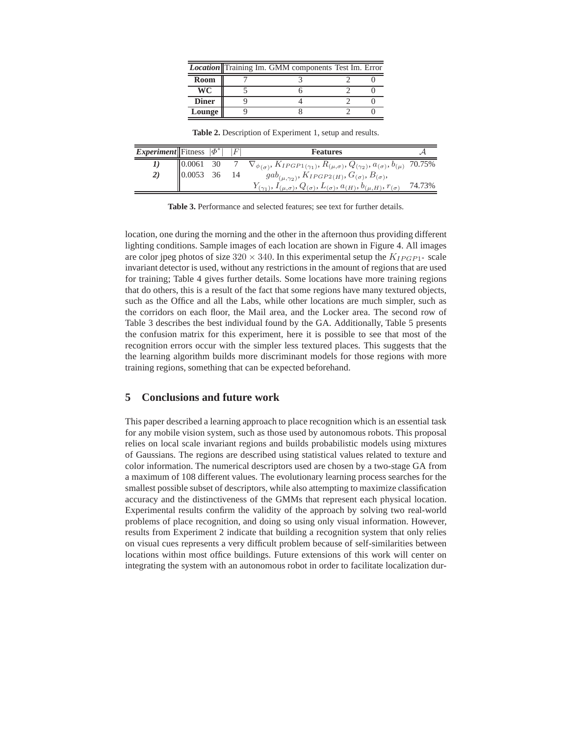|              | Location Training Im. GMM components Test Im. Error |  |
|--------------|-----------------------------------------------------|--|
| <b>Room</b>  |                                                     |  |
| <b>WC</b>    |                                                     |  |
| <b>Diner</b> |                                                     |  |
| Lounge       |                                                     |  |

**Table 2.** Description of Experiment 1, setup and results.

| <i>Experiment</i> Fitness $ \Phi^* $   F |              |  | <b>Features</b>                                                                                                                                  |        |
|------------------------------------------|--------------|--|--------------------------------------------------------------------------------------------------------------------------------------------------|--------|
|                                          |              |  | <b>0.0061</b> 30 7 $\nabla_{\phi_{(\sigma)}}$ , $K_{IPGP1(\gamma_1)}$ , $R_{(\mu,\sigma)}$ , $Q_{(\gamma_2)}$ , $a_{(\sigma)}, b_{(\mu)}$ 70.75% |        |
|                                          | 0.0053 36 14 |  | $gab_{(\mu,\gamma_2)}, K_{IPGP2(H)}, G_{(\sigma)}, B_{(\sigma)},$                                                                                |        |
|                                          |              |  | $Y_{(\gamma_1)}, I_{(\mu,\sigma)}, Q_{(\sigma)}, L_{(\sigma)}, a_{(H)}, b_{(\mu,H)}, r_{(\sigma)}$                                               | 74.73% |

**Table 3.** Performance and selected features; see text for further details.

location, one during the morning and the other in the afternoon thus providing different lighting conditions. Sample images of each location are shown in Figure 4. All images are color jpeg photos of size 320 × 340. In this experimental setup the  $K_{IPGP1*}$  scale invariant detector is used, without any restrictions in the amount of regions that are used for training; Table 4 gives further details. Some locations have more training regions that do others, this is a result of the fact that some regions have many textured objects, such as the Office and all the Labs, while other locations are much simpler, such as the corridors on each floor, the Mail area, and the Locker area. The second row of Table 3 describes the best individual found by the GA. Additionally, Table 5 presents the confusion matrix for this experiment, here it is possible to see that most of the recognition errors occur with the simpler less textured places. This suggests that the the learning algorithm builds more discriminant models for those regions with more training regions, something that can be expected beforehand.

# **5 Conclusions and future work**

This paper described a learning approach to place recognition which is an essential task for any mobile vision system, such as those used by autonomous robots. This proposal relies on local scale invariant regions and builds probabilistic models using mixtures of Gaussians. The regions are described using statistical values related to texture and color information. The numerical descriptors used are chosen by a two-stage GA from a maximum of 108 different values. The evolutionary learning process searches for the smallest possible subset of descriptors, while also attempting to maximize classification accuracy and the distinctiveness of the GMMs that represent each physical location. Experimental results confirm the validity of the approach by solving two real-world problems of place recognition, and doing so using only visual information. However, results from Experiment 2 indicate that building a recognition system that only relies on visual cues represents a very difficult problem because of self-similarities between locations within most office buildings. Future extensions of this work will center on integrating the system with an autonomous robot in order to facilitate localization dur-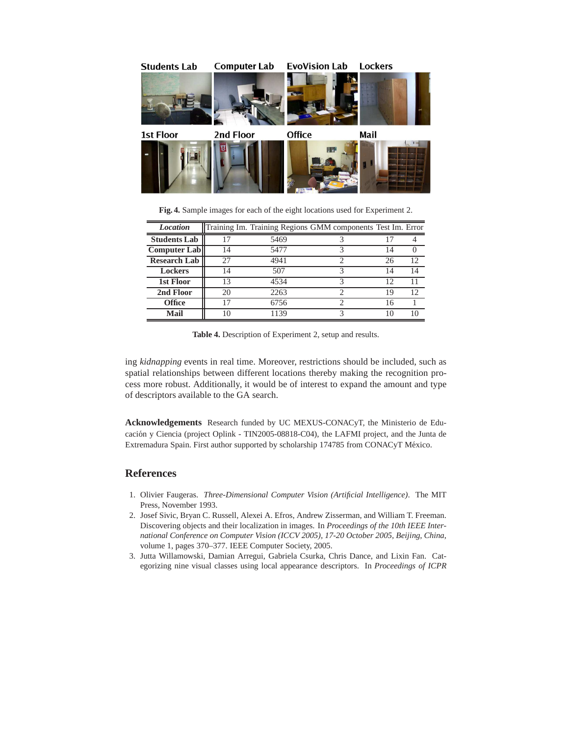

**Fig. 4.** Sample images for each of the eight locations used for Experiment 2.

| <i>Location</i>     |    |      | Training Im. Training Regions GMM components Test Im. Error |    |    |
|---------------------|----|------|-------------------------------------------------------------|----|----|
| <b>Students Lab</b> | 17 | 5469 |                                                             |    |    |
| <b>Computer Lab</b> | 14 | 5477 |                                                             | 14 |    |
| <b>Research Lab</b> | 27 | 4941 |                                                             | 26 | 12 |
| <b>Lockers</b>      | 14 | 507  |                                                             | 14 | 14 |
| 1st Floor           | 13 | 4534 |                                                             | 12 |    |
| 2nd Floor           | 20 | 2263 |                                                             | 19 | 12 |
| <b>Office</b>       | 17 | 6756 |                                                             | 16 |    |
| Mail                | 10 | 1139 |                                                             |    | 10 |

**Table 4.** Description of Experiment 2, setup and results.

ing *kidnapping* events in real time. Moreover, restrictions should be included, such as spatial relationships between different locations thereby making the recognition process more robust. Additionally, it would be of interest to expand the amount and type of descriptors available to the GA search.

**Acknowledgements** Research funded by UC MEXUS-CONACyT, the Ministerio de Educación y Ciencia (project Oplink - TIN2005-08818-C04), the LAFMI project, and the Junta de Extremadura Spain. First author supported by scholarship 174785 from CONACyT México.

# **References**

- 1. Olivier Faugeras. *Three-Dimensional Computer Vision (Artificial Intelligence)*. The MIT Press, November 1993.
- 2. Josef Sivic, Bryan C. Russell, Alexei A. Efros, Andrew Zisserman, and William T. Freeman. Discovering objects and their localization in images. In *Proceedings of the 10th IEEE International Conference on Computer Vision (ICCV 2005), 17-20 October 2005, Beijing, China*, volume 1, pages 370–377. IEEE Computer Society, 2005.
- 3. Jutta Willamowski, Damian Arregui, Gabriela Csurka, Chris Dance, and Lixin Fan. Categorizing nine visual classes using local appearance descriptors. In *Proceedings of ICPR*